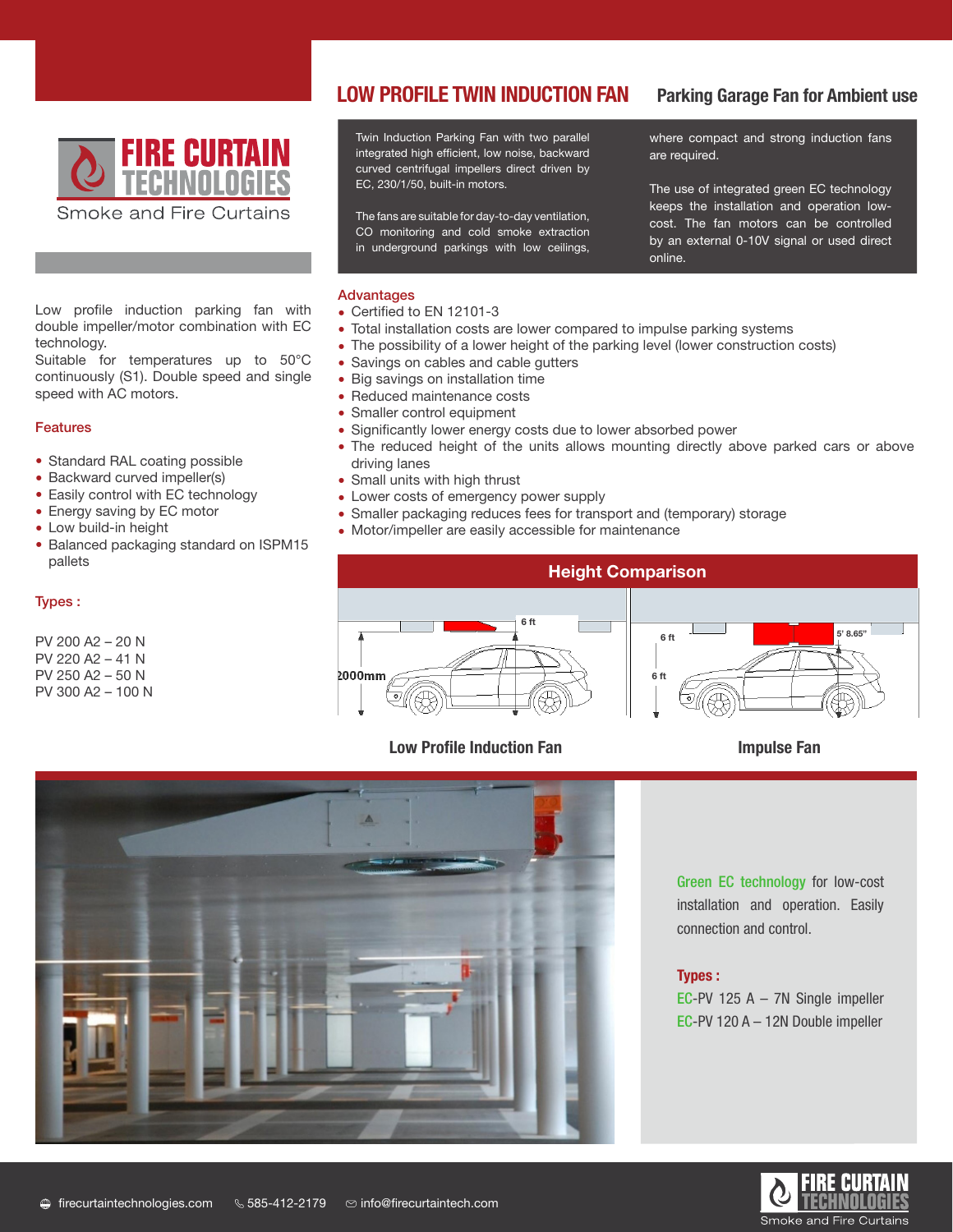

Low profile induction parking fan with double impeller/motor combination with EC  technology.

Suitable for temperatures up to 50°C continuously (S1). Double speed and single speed with AC motors.

### Features

- Standard RAL coating possible
- Backward curved impeller(s)
- Easily control with EC technology
- Energy saving by EC motor
- Low build-in height
- Balanced packaging standard on ISPM15 pallets

### Types :

PV 200 A2 – 20 N PV 220 A2 – 41 N PV 250 A2 – 50 N PV 300 A2 – 100 N

### **LOW PROFILE TWIN INDUC**  Significant lower energy costs because of a lower absorbed power Reduced maintenance costs **LOW PROFILE TWIN INDUCTION FAN** Parking Garage Fan for Ambient use

Significant lower energy costs because of a lower absorbed power

 $\mathcal{S}_\text{S}$  and cables and cables and cables and cables and cables and cables and cables and cables and cables and cables and cables and cables and cables and cables and cables and cables and cables and cables and cable

 Savings on cables and cable gutters Large savings on installation time

Twin Induction Parking Fan with two parallel above where compact and strong induction fa integrated high efficient, low noise, backward curved centrifugal impellers direct driven by  $E$ C<sub>2</sub>, 200/1/00, Duit-in motors. Small units with the curved centritugal impeliers of<br>Small thrust EC, 230/1/50, built-in motors.  $\mathcal{L}$  costs  $\mathcal{L}$  costs of external supply power supply to  $\mathcal{L}$ 

CO monitoring and cold smoke extraction<br>
by an external in underground parkings with low ceilings,

where compact and strong induction fans are required.

Keeps the installation and operation<br>The fans are suitable for day-to-day ventilation,<br>And the fan mater and he co The use of integrated green EC technology keeps the installation and operation lowcost. The fan motors can be controlled by an external 0-10V signal or used direct online.

### *PV 250 S2 – 50 N Centrifugal VeJe 415 T – 50 N Axial PV 250 S2 – 50 N Centrifugal VeJe 415 T – 50 N Axial*  Advantages

- Certified to EN 12101-3
- Certified to EIV 12101-5<br>• Total installation costs are lower compared to impulse parking systems
- The possibility of a lower height of the parking level (lower construction costs)
- Savings on cables and cable gutters
- Big savings on installation time
- Reduced maintenance costs
- Smaller control equipment
- Significantly lower energy costs due to lower absorbed power
- Digitimedinity fower energy edded date to fower discorbed power driving lanes
- Small units with high thrust
- Lower costs of emergency power supply •
- Smaller packaging reduces fees for transport and (temporary) storage
- Motor/impeller are easily accessible for maintenance



## Low Profile Induction Fan **Impulse Fan**



Green EC technology for low-cost installation and operation. Easily connection and control.

### Types :

EC-PV 125 A – 7N Single impeller EC-PV 120 A – 12N Double impeller